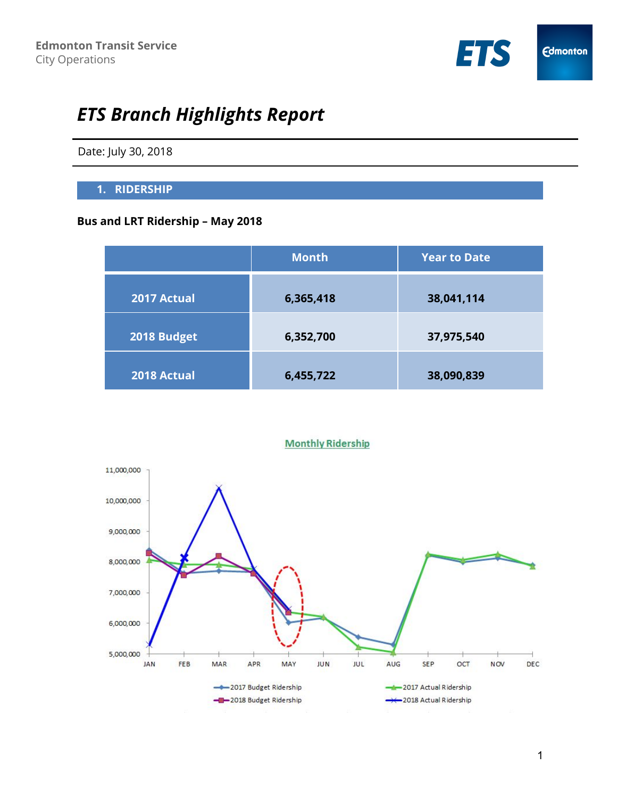

# *ETS Branch Highlights Report*

Date: July 30, 2018

# **1. RIDERSHIP**

# **Bus and LRT Ridership – May 2018**

|             | <b>Month</b> | <b>Year to Date</b> |
|-------------|--------------|---------------------|
| 2017 Actual | 6,365,418    | 38,041,114          |
| 2018 Budget | 6,352,700    | 37,975,540          |
| 2018 Actual | 6,455,722    | 38,090,839          |

#### **Monthly Ridership**

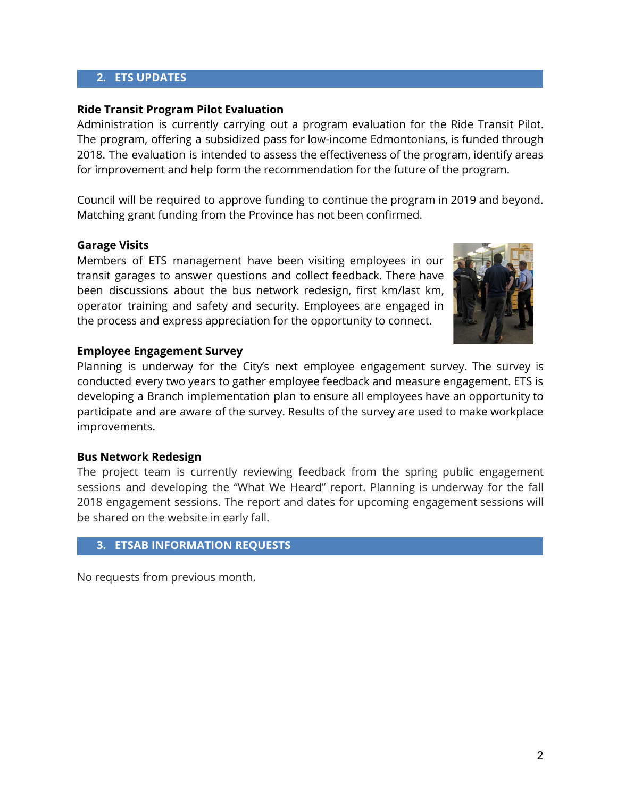# **2. ETS UPDATES**

#### **Ride Transit Program Pilot Evaluation**

Administration is currently carrying out a program evaluation for the Ride Transit Pilot. The program, offering a subsidized pass for low-income Edmontonians, is funded through 2018. The evaluation is intended to assess the effectiveness of the program, identify areas for improvement and help form the recommendation for the future of the program.

Council will be required to approve funding to continue the program in 2019 and beyond. Matching grant funding from the Province has not been confirmed.

#### **Garage Visits**

Members of ETS management have been visiting employees in our transit garages to answer questions and collect feedback. There have been discussions about the bus network redesign, first km/last km, operator training and safety and security. Employees are engaged in the process and express appreciation for the opportunity to connect.



#### **Employee Engagement Survey**

Planning is underway for the City's next employee engagement survey. The survey is conducted every two years to gather employee feedback and measure engagement. ETS is developing a Branch implementation plan to ensure all employees have an opportunity to participate and are aware of the survey. Results of the survey are used to make workplace improvements.

## **Bus Network Redesign**

The project team is currently reviewing feedback from the spring public engagement sessions and developing the "What We Heard" report. Planning is underway for the fall 2018 engagement sessions. The report and dates for upcoming engagement sessions will be shared on the website in early fall.

# **3. ETSAB INFORMATION REQUESTS**

No requests from previous month.